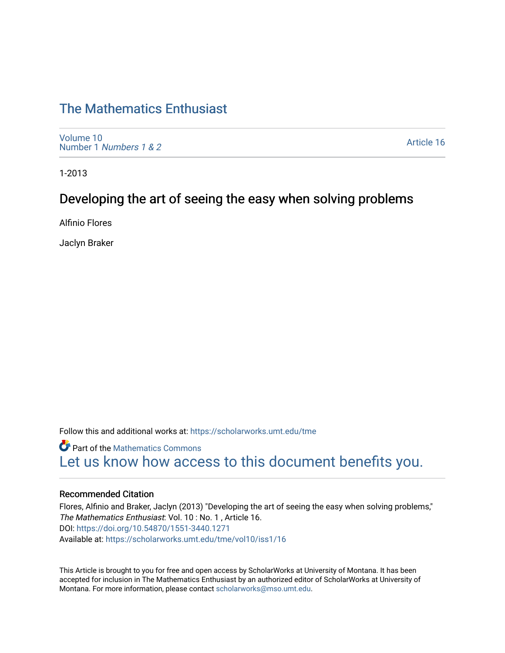# [The Mathematics Enthusiast](https://scholarworks.umt.edu/tme)

[Volume 10](https://scholarworks.umt.edu/tme/vol10) Number 1 [Numbers 1 & 2](https://scholarworks.umt.edu/tme/vol10/iss1)

[Article 16](https://scholarworks.umt.edu/tme/vol10/iss1/16) 

1-2013

# Developing the art of seeing the easy when solving problems

Alfinio Flores

Jaclyn Braker

Follow this and additional works at: [https://scholarworks.umt.edu/tme](https://scholarworks.umt.edu/tme?utm_source=scholarworks.umt.edu%2Ftme%2Fvol10%2Fiss1%2F16&utm_medium=PDF&utm_campaign=PDFCoverPages) 

**Part of the [Mathematics Commons](http://network.bepress.com/hgg/discipline/174?utm_source=scholarworks.umt.edu%2Ftme%2Fvol10%2Fiss1%2F16&utm_medium=PDF&utm_campaign=PDFCoverPages)** [Let us know how access to this document benefits you.](https://goo.gl/forms/s2rGfXOLzz71qgsB2) 

### Recommended Citation

Flores, Alfinio and Braker, Jaclyn (2013) "Developing the art of seeing the easy when solving problems," The Mathematics Enthusiast: Vol. 10 : No. 1 , Article 16. DOI:<https://doi.org/10.54870/1551-3440.1271> Available at: [https://scholarworks.umt.edu/tme/vol10/iss1/16](https://scholarworks.umt.edu/tme/vol10/iss1/16?utm_source=scholarworks.umt.edu%2Ftme%2Fvol10%2Fiss1%2F16&utm_medium=PDF&utm_campaign=PDFCoverPages)

This Article is brought to you for free and open access by ScholarWorks at University of Montana. It has been accepted for inclusion in The Mathematics Enthusiast by an authorized editor of ScholarWorks at University of Montana. For more information, please contact [scholarworks@mso.umt.edu.](mailto:scholarworks@mso.umt.edu)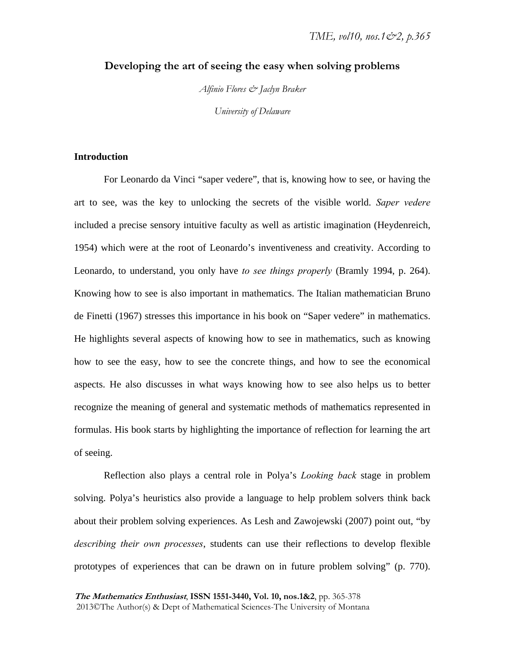## **Developing the art of seeing the easy when solving problems**

*Alfinio Flores & Jaclyn Braker University of Delaware* 

## **Introduction**

For Leonardo da Vinci "saper vedere", that is, knowing how to see, or having the art to see, was the key to unlocking the secrets of the visible world. *Saper vedere* included a precise sensory intuitive faculty as well as artistic imagination (Heydenreich, 1954) which were at the root of Leonardo's inventiveness and creativity. According to Leonardo, to understand, you only have *to see things properly* (Bramly 1994, p. 264). Knowing how to see is also important in mathematics. The Italian mathematician Bruno de Finetti (1967) stresses this importance in his book on "Saper vedere" in mathematics. He highlights several aspects of knowing how to see in mathematics, such as knowing how to see the easy, how to see the concrete things, and how to see the economical aspects. He also discusses in what ways knowing how to see also helps us to better recognize the meaning of general and systematic methods of mathematics represented in formulas. His book starts by highlighting the importance of reflection for learning the art of seeing.

Reflection also plays a central role in Polya's *Looking back* stage in problem solving. Polya's heuristics also provide a language to help problem solvers think back about their problem solving experiences. As Lesh and Zawojewski (2007) point out, "by *describing their own processes*, students can use their reflections to develop flexible prototypes of experiences that can be drawn on in future problem solving" (p. 770).

**The Mathematics Enthusiast**, **ISSN 1551-3440, Vol. 10, nos.1&2**, pp. 365-378 2013©The Author(s) & Dept of Mathematical Sciences-The University of Montana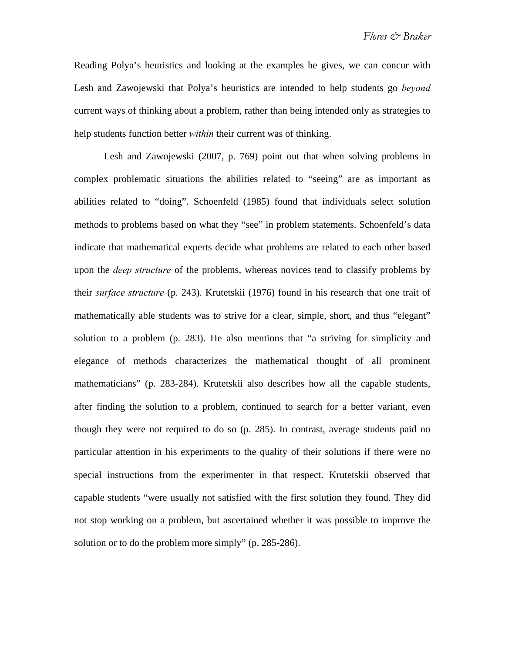Reading Polya's heuristics and looking at the examples he gives, we can concur with Lesh and Zawojewski that Polya's heuristics are intended to help students go *beyond* current ways of thinking about a problem, rather than being intended only as strategies to help students function better *within* their current was of thinking.

Lesh and Zawojewski (2007, p. 769) point out that when solving problems in complex problematic situations the abilities related to "seeing" are as important as abilities related to "doing". Schoenfeld (1985) found that individuals select solution methods to problems based on what they "see" in problem statements. Schoenfeld's data indicate that mathematical experts decide what problems are related to each other based upon the *deep structure* of the problems, whereas novices tend to classify problems by their *surface structure* (p. 243). Krutetskii (1976) found in his research that one trait of mathematically able students was to strive for a clear, simple, short, and thus "elegant" solution to a problem (p. 283). He also mentions that "a striving for simplicity and elegance of methods characterizes the mathematical thought of all prominent mathematicians" (p. 283-284). Krutetskii also describes how all the capable students, after finding the solution to a problem, continued to search for a better variant, even though they were not required to do so (p. 285). In contrast, average students paid no particular attention in his experiments to the quality of their solutions if there were no special instructions from the experimenter in that respect. Krutetskii observed that capable students "were usually not satisfied with the first solution they found. They did not stop working on a problem, but ascertained whether it was possible to improve the solution or to do the problem more simply" (p. 285-286).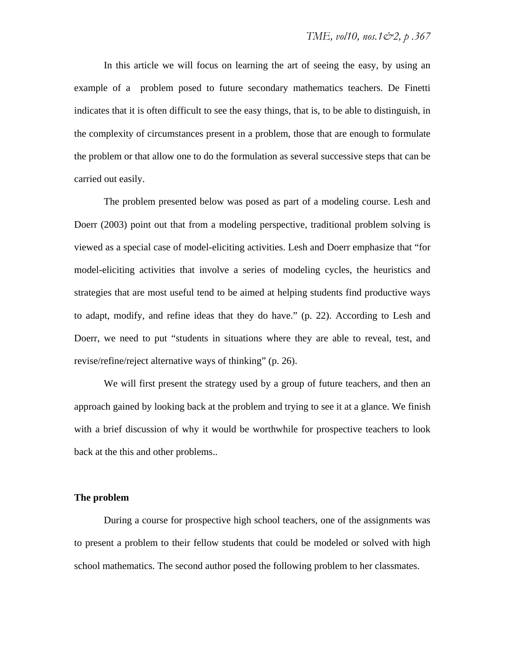In this article we will focus on learning the art of seeing the easy, by using an example of a problem posed to future secondary mathematics teachers. De Finetti indicates that it is often difficult to see the easy things, that is, to be able to distinguish, in the complexity of circumstances present in a problem, those that are enough to formulate the problem or that allow one to do the formulation as several successive steps that can be carried out easily.

The problem presented below was posed as part of a modeling course. Lesh and Doerr (2003) point out that from a modeling perspective, traditional problem solving is viewed as a special case of model-eliciting activities. Lesh and Doerr emphasize that "for model-eliciting activities that involve a series of modeling cycles, the heuristics and strategies that are most useful tend to be aimed at helping students find productive ways to adapt, modify, and refine ideas that they do have." (p. 22). According to Lesh and Doerr, we need to put "students in situations where they are able to reveal, test, and revise/refine/reject alternative ways of thinking" (p. 26).

We will first present the strategy used by a group of future teachers, and then an approach gained by looking back at the problem and trying to see it at a glance. We finish with a brief discussion of why it would be worthwhile for prospective teachers to look back at the this and other problems..

## **The problem**

During a course for prospective high school teachers, one of the assignments was to present a problem to their fellow students that could be modeled or solved with high school mathematics. The second author posed the following problem to her classmates.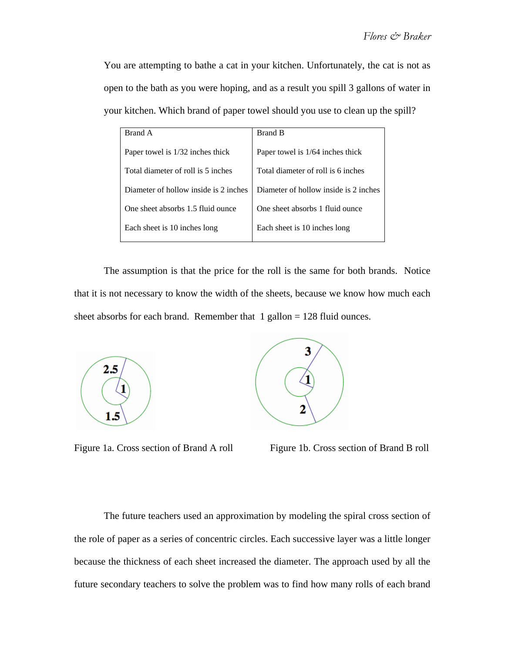You are attempting to bathe a cat in your kitchen. Unfortunately, the cat is not as open to the bath as you were hoping, and as a result you spill 3 gallons of water in your kitchen. Which brand of paper towel should you use to clean up the spill?

| Brand A                               | <b>Brand B</b>                        |
|---------------------------------------|---------------------------------------|
| Paper towel is 1/32 inches thick      | Paper towel is 1/64 inches thick      |
| Total diameter of roll is 5 inches    | Total diameter of roll is 6 inches    |
| Diameter of hollow inside is 2 inches | Diameter of hollow inside is 2 inches |
| One sheet absorbs 1.5 fluid ounce     | One sheet absorbs 1 fluid ounce       |
| Each sheet is 10 inches long          | Each sheet is 10 inches long          |

The assumption is that the price for the roll is the same for both brands. Notice that it is not necessary to know the width of the sheets, because we know how much each sheet absorbs for each brand. Remember that  $1$  gallon = 128 fluid ounces.





Figure 1a. Cross section of Brand A roll Figure 1b. Cross section of Brand B roll

The future teachers used an approximation by modeling the spiral cross section of the role of paper as a series of concentric circles. Each successive layer was a little longer because the thickness of each sheet increased the diameter. The approach used by all the future secondary teachers to solve the problem was to find how many rolls of each brand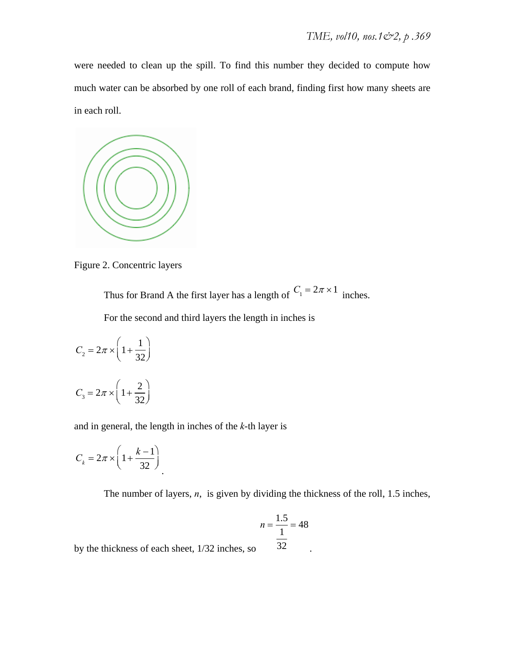were needed to clean up the spill. To find this number they decided to compute how much water can be absorbed by one roll of each brand, finding first how many sheets are in each roll.



Figure 2. Concentric layers

Thus for Brand A the first layer has a length of  $C_1 = 2\pi \times 1$  inches.

For the second and third layers the length in inches is

$$
C_2 = 2\pi \times \left(1 + \frac{1}{32}\right)
$$
  

$$
C_3 = 2\pi \times \left(1 + \frac{2}{32}\right)
$$

and in general, the length in inches of the *k*-th layer is

$$
C_k = 2\pi \times \left(1 + \frac{k-1}{32}\right)
$$

The number of layers, *n*, is given by dividing the thickness of the roll, 1.5 inches,

$$
n = \frac{1.5}{\frac{1}{32}} = 48
$$
so

by the thickness of each sheet,  $1/32$  inches, so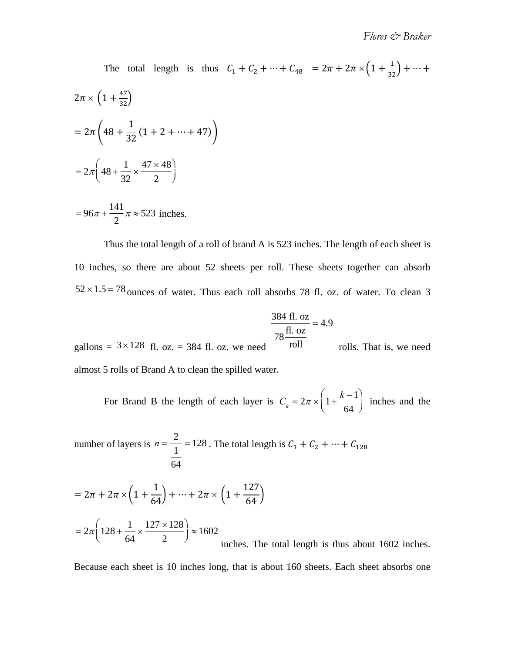The total length is thus  $C_1 + C_2 + \dots + C_{48} = 2\pi + 2\pi \times \left(1 + \frac{1}{32}\right) + \dots$  $2\pi \times \left(1 + \frac{47}{32}\right)$  $=2\pi \left(48 + \frac{1}{25}\right)$  $\frac{1}{32}(1 + 2 + \cdots + 47)$  $=2\pi \left( 48+\frac{1}{25}\right)$ 32  $\times \frac{47 \times 48}{1}$ 2 ſ  $\setminus$  $\backslash$  $\int$ 

$$
= 96\pi + \frac{141}{2}\pi \approx 523
$$
 inches.

Thus the total length of a roll of brand A is 523 inches. The length of each sheet is 10 inches, so there are about 52 sheets per roll. These sheets together can absorb  $52 \times 1.5 = 78$  ounces of water. Thus each roll absorbs 78 fl. oz. of water. To clean 3

$$
\frac{384 \text{ fl. oz}}{78 \frac{\text{fl. oz}}{\text{g}}}
$$
 = 4.9

gallons =  $3 \times 128$  fl. oz. = 384 fl. oz. we need roll rolls. That is, we need almost 5 rolls of Brand A to clean the spilled water. roll

For Brand B the length of each layer is  $C_k = 2\pi \times \left(1 + \frac{k-1}{64}\right)$  inches and the 64 ſ l  $\backslash$  $\bigg)$ 

number of layers is 
$$
n = \frac{2}{\frac{1}{64}} = 128
$$
. The total length is  $C_1 + C_2 + \dots + C_{128}$ 

$$
= 2\pi + 2\pi \times \left(1 + \frac{1}{64}\right) + \dots + 2\pi \times \left(1 + \frac{127}{64}\right)
$$
  
=  $2\pi \left(128 + \frac{1}{64} \times \frac{127 \times 128}{2}\right) \approx 1602$   
inches. The total length is thus about 1602 inches.

Because each sheet is 10 inches long, that is about 160 sheets. Each sheet absorbs one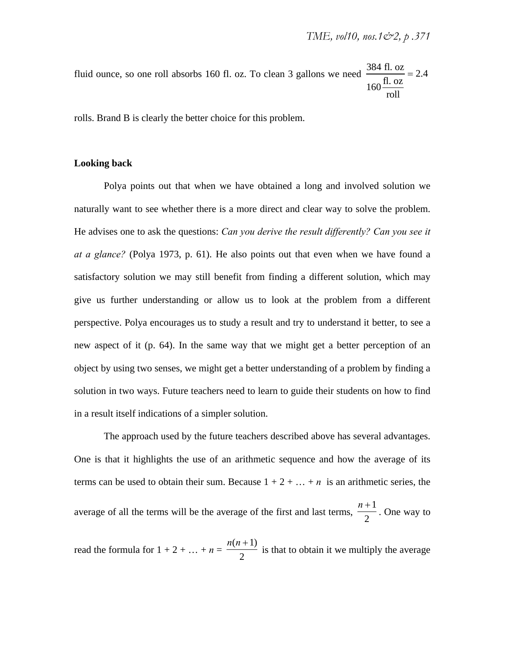fluid ounce, so one roll absorbs 160 fl. oz. To clean 3 gallons we need 384 fl. oz  $160 \frac{\text{fl. oz}}{\text{u}}$ roll  $= 2.4$ 

rolls. Brand B is clearly the better choice for this problem.

### **Looking back**

Polya points out that when we have obtained a long and involved solution we naturally want to see whether there is a more direct and clear way to solve the problem. He advises one to ask the questions: *Can you derive the result differently? Can you see it at a glance?* (Polya 1973, p. 61). He also points out that even when we have found a satisfactory solution we may still benefit from finding a different solution, which may give us further understanding or allow us to look at the problem from a different perspective. Polya encourages us to study a result and try to understand it better, to see a new aspect of it (p. 64). In the same way that we might get a better perception of an object by using two senses, we might get a better understanding of a problem by finding a solution in two ways. Future teachers need to learn to guide their students on how to find in a result itself indications of a simpler solution.

The approach used by the future teachers described above has several advantages. One is that it highlights the use of an arithmetic sequence and how the average of its terms can be used to obtain their sum. Because  $1 + 2 + \ldots + n$  is an arithmetic series, the average of all the terms will be the average of the first and last terms,  $\frac{n+1}{2}$ . One way to  $n + 1$ 2

read the formula for  $1 + 2 + ... + n = \frac{n(n+1)}{2}$  is that to obtain it we multiply the average  $n(n+1)$ 2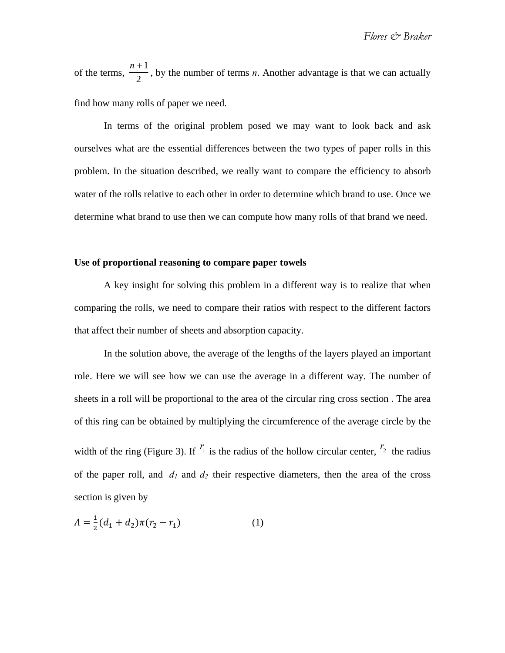of the e terms, find how many rolls of paper we need. *n*  $\frac{1}{2}$ , by the nu 1 umber of terms  $n$ . Another advantage is that we can actually

ourselves what are the essential differences between the two types of paper rolls in this problem. In the situation described, we really want to compare the efficiency to absorb water of the rolls relative to each other in order to determine which brand to use. Once we determine what brand to use then we can compute how many rolls of that brand we need. In terms of the original problem posed we may want to look back and ask

### Use of proportional reasoning to compare paper towels

comparing the rolls, we need to compare their ratios with respect to the different factors that affect their number of sheets and absorption capacity. A key insight for solving this problem in a different way is to realize that when

role. Here we will see how we can use the average in a different way. The number of sheets in a roll will be proportional to the area of the circular ring cross section. The area of this ring can be obtained by multiplying the circumference of the average circle by the width of the ring (Figure 3). If  $r_1$  is the radius of the hollow circular center,  $r_2$  the radius of the paper roll, and  $d_1$  and  $d_2$  their respective diameters, then the area of the cross section is given by In the solution above, the average of the lengths of the layers played an important

$$
A = \frac{1}{2}(d_1 + d_2)\pi(r_2 - r_1)
$$
 (1)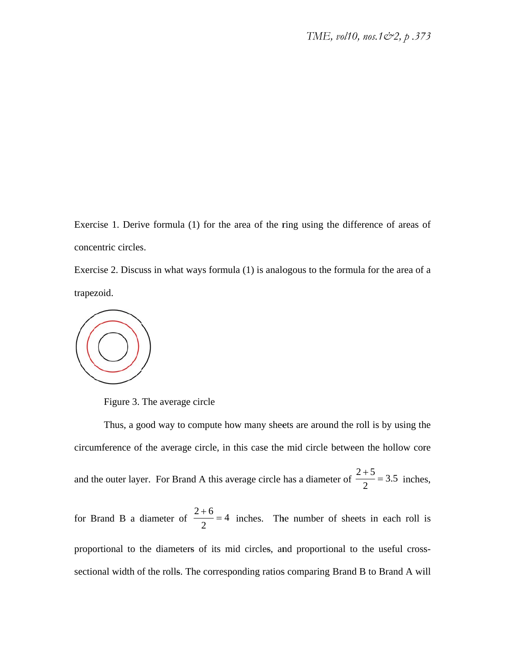Exercise 1. Derive formula (1) for the area of the ring using the difference of areas of concentric circles.

Exercise 2. Discuss in what ways formula (1) is analogous to the formula for the area of a trapez zoid.



Figure 3. The average circle

circumference of the average circle, in this case the mid circle between the hollow core and the outer layer. For Brand A this average circle has a diameter of Thus, a good way to compute how many sheets are around the roll is by using the  $2 + 5$ 2  $= 3.5$  inches,

for B Brand B a d diameter of proportional to the diameters of its mid circles, and proportional to the useful crosssectional width of the rolls. The corresponding ratios comparing Brand B to Brand A will  $\frac{2+6}{2}$  = 4 inches. The number of sheets in each roll is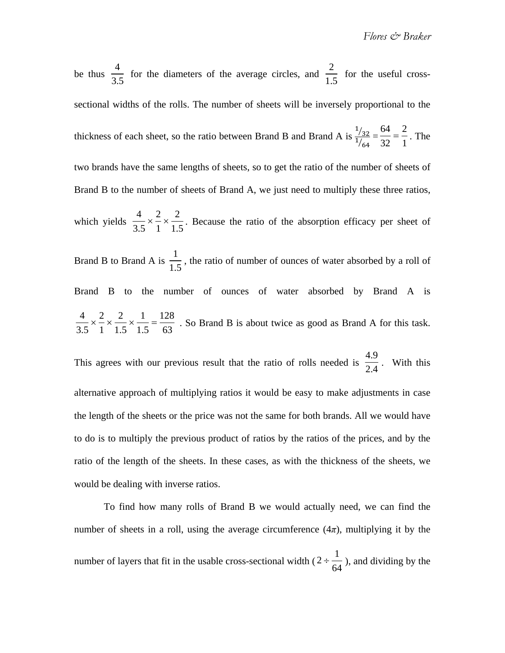*Flores & Braker* 

be thus  $\frac{1}{\sqrt{2}}$  for the diameters of the average circles, and  $\frac{1}{\sqrt{2}}$  for the useful crosssectional widths of the rolls. The number of sheets will be inversely proportional to the thickness of each sheet, so the ratio between Brand B and Brand A is  $\frac{1/32}{1/64} = \frac{64}{32} = \frac{2}{1}$ . The two brands have the same lengths of sheets, so to get the ratio of the number of sheets of Brand B to the number of sheets of Brand A, we just need to multiply these three ratios, 4 3.5 2 1.5  $\frac{64}{32} = \frac{2}{1}$ 

which yields  $\frac{1}{2} \times \frac{1}{2} \times \frac{1}{16}$ . Because the ratio of the absorption efficacy per sheet of 4 3.5  $\times \frac{2}{1}$ 1  $\times \frac{2}{5}$ 1.5

Brand B to Brand A is  $\frac{1}{\sqrt{2}}$ , the ratio of number of ounces of water absorbed by a roll of Brand B to the number of ounces of water absorbed by Brand A is . So Brand B is about twice as good as Brand A for this task. 1 1.5 4 3.5  $\times \frac{2}{1}$ 1  $\times \frac{2}{1}$ 1.5  $\times \frac{1}{1.5} = \frac{128}{63}$ 

This agrees with our previous result that the ratio of rolls needed is  $\frac{1}{2}$ . With this alternative approach of multiplying ratios it would be easy to make adjustments in case the length of the sheets or the price was not the same for both brands. All we would have to do is to multiply the previous product of ratios by the ratios of the prices, and by the ratio of the length of the sheets. In these cases, as with the thickness of the sheets, we would be dealing with inverse ratios. 4.9 2.4

To find how many rolls of Brand B we would actually need, we can find the number of sheets in a roll, using the average circumference  $(4\pi)$ , multiplying it by the number of layers that fit in the usable cross-sectional width ( $2 \div \frac{1}{\epsilon_1}$ ), and dividing by the 64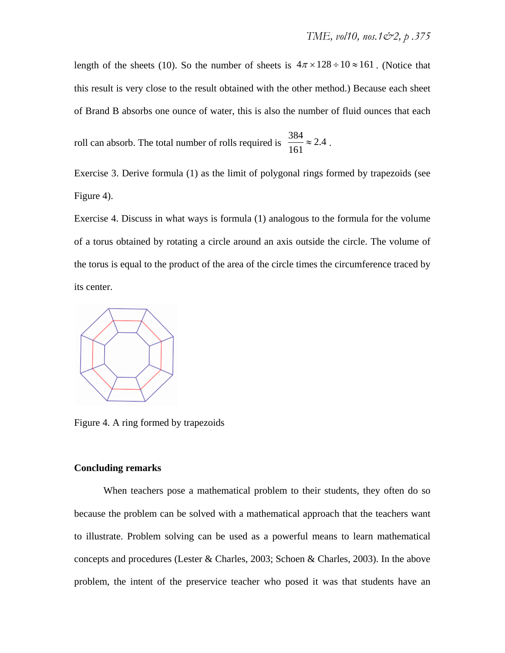length of the sheets (10). So the number of sheets is  $4\pi \times 128 \div 10 \approx 161$ . (Notice that this result is very close to the result obtained with the other method.) Because each sheet of Brand B absorbs one ounce of water, this is also the number of fluid ounces that each

roll can absorb. The total number of rolls required is  $\frac{504}{161} \approx 2.4$ .  $\frac{384}{161} \approx 2.4$ 

Exercise 3. Derive formula (1) as the limit of polygonal rings formed by trapezoids (see Figure 4).

Exercise 4. Discuss in what ways is formula (1) analogous to the formula for the volume of a torus obtained by rotating a circle around an axis outside the circle. The volume of the torus is equal to the product of the area of the circle times the circumference traced by its center.



Figure 4. A ring formed by trapezoids

#### **Concluding remarks**

When teachers pose a mathematical problem to their students, they often do so because the problem can be solved with a mathematical approach that the teachers want to illustrate. Problem solving can be used as a powerful means to learn mathematical concepts and procedures (Lester & Charles, 2003; Schoen & Charles, 2003). In the above problem, the intent of the preservice teacher who posed it was that students have an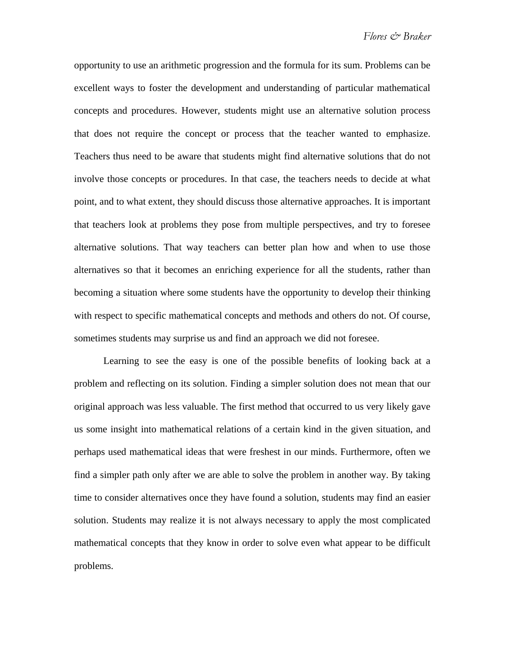opportunity to use an arithmetic progression and the formula for its sum. Problems can be excellent ways to foster the development and understanding of particular mathematical concepts and procedures. However, students might use an alternative solution process that does not require the concept or process that the teacher wanted to emphasize. Teachers thus need to be aware that students might find alternative solutions that do not involve those concepts or procedures. In that case, the teachers needs to decide at what point, and to what extent, they should discuss those alternative approaches. It is important that teachers look at problems they pose from multiple perspectives, and try to foresee alternative solutions. That way teachers can better plan how and when to use those alternatives so that it becomes an enriching experience for all the students, rather than becoming a situation where some students have the opportunity to develop their thinking with respect to specific mathematical concepts and methods and others do not. Of course, sometimes students may surprise us and find an approach we did not foresee.

Learning to see the easy is one of the possible benefits of looking back at a problem and reflecting on its solution. Finding a simpler solution does not mean that our original approach was less valuable. The first method that occurred to us very likely gave us some insight into mathematical relations of a certain kind in the given situation, and perhaps used mathematical ideas that were freshest in our minds. Furthermore, often we find a simpler path only after we are able to solve the problem in another way. By taking time to consider alternatives once they have found a solution, students may find an easier solution. Students may realize it is not always necessary to apply the most complicated mathematical concepts that they know in order to solve even what appear to be difficult problems.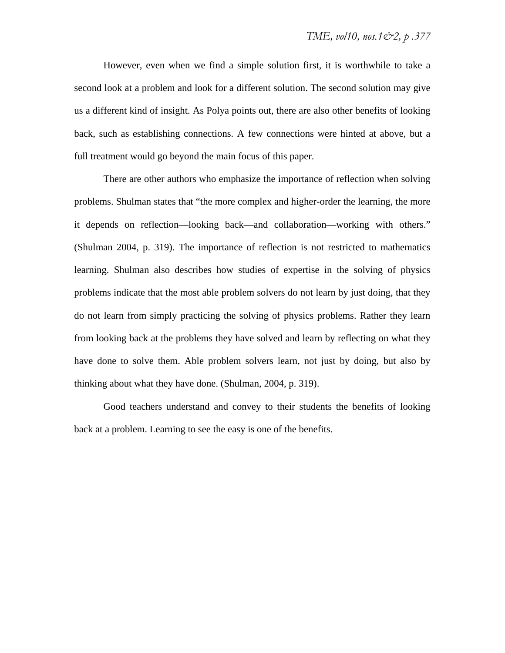However, even when we find a simple solution first, it is worthwhile to take a second look at a problem and look for a different solution. The second solution may give us a different kind of insight. As Polya points out, there are also other benefits of looking back, such as establishing connections. A few connections were hinted at above, but a full treatment would go beyond the main focus of this paper.

There are other authors who emphasize the importance of reflection when solving problems. Shulman states that "the more complex and higher-order the learning, the more it depends on reflection—looking back—and collaboration—working with others." (Shulman 2004, p. 319). The importance of reflection is not restricted to mathematics learning. Shulman also describes how studies of expertise in the solving of physics problems indicate that the most able problem solvers do not learn by just doing, that they do not learn from simply practicing the solving of physics problems. Rather they learn from looking back at the problems they have solved and learn by reflecting on what they have done to solve them. Able problem solvers learn, not just by doing, but also by thinking about what they have done. (Shulman, 2004, p. 319).

Good teachers understand and convey to their students the benefits of looking back at a problem. Learning to see the easy is one of the benefits.